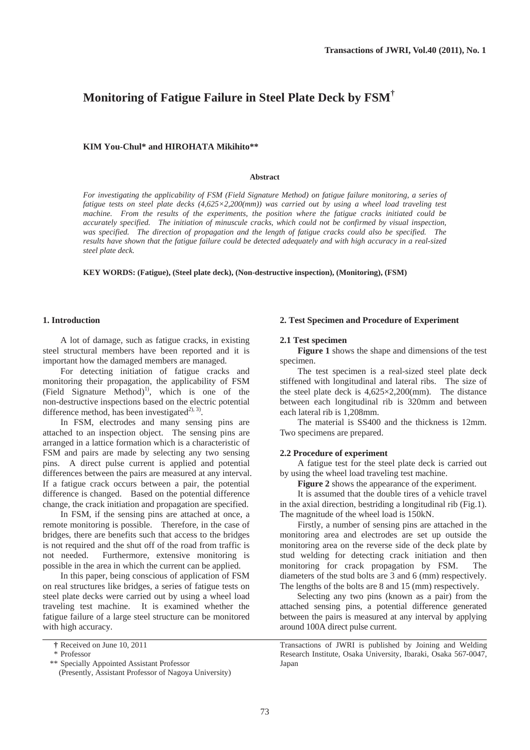# **Monitoring of Fatigue Failure in Steel Plate Deck by FSM†**

## **KIM You-Chul\* and HIROHATA Mikihito\*\***

#### **Abstract**

*For investigating the applicability of FSM (Field Signature Method) on fatigue failure monitoring, a series of fatigue tests on steel plate decks (4,625×2,200(mm)) was carried out by using a wheel load traveling test machine. From the results of the experiments, the position where the fatigue cracks initiated could be accurately specified. The initiation of minuscule cracks, which could not be confirmed by visual inspection,*  was specified. The direction of propagation and the length of fatigue cracks could also be specified. The *results have shown that the fatigue failure could be detected adequately and with high accuracy in a real-sized steel plate deck.* 

**KEY WORDS: (Fatigue), (Steel plate deck), (Non-destructive inspection), (Monitoring), (FSM)** 

# **1. Introduction**

A lot of damage, such as fatigue cracks, in existing steel structural members have been reported and it is important how the damaged members are managed.

For detecting initiation of fatigue cracks and monitoring their propagation, the applicability of FSM (Field Signature Method)<sup>1)</sup>, which is one of the non-destructive inspections based on the electric potential difference method, has been investigated<sup>2), 3)</sup>.

In FSM, electrodes and many sensing pins are attached to an inspection object. The sensing pins are arranged in a lattice formation which is a characteristic of FSM and pairs are made by selecting any two sensing pins. A direct pulse current is applied and potential differences between the pairs are measured at any interval. If a fatigue crack occurs between a pair, the potential difference is changed. Based on the potential difference change, the crack initiation and propagation are specified.

In FSM, if the sensing pins are attached at once, a remote monitoring is possible. Therefore, in the case of bridges, there are benefits such that access to the bridges is not required and the shut off of the road from traffic is not needed. Furthermore, extensive monitoring is possible in the area in which the current can be applied.

In this paper, being conscious of application of FSM on real structures like bridges, a series of fatigue tests on steel plate decks were carried out by using a wheel load traveling test machine. It is examined whether the fatigue failure of a large steel structure can be monitored with high accuracy.

## **2. Test Specimen and Procedure of Experiment**

#### **2.1 Test specimen**

**Figure 1** shows the shape and dimensions of the test specimen.

The test specimen is a real-sized steel plate deck stiffened with longitudinal and lateral ribs. The size of the steel plate deck is 4,625×2,200(mm). The distance between each longitudinal rib is 320mm and between each lateral rib is 1,208mm.

The material is SS400 and the thickness is 12mm. Two specimens are prepared.

# **2.2 Procedure of experiment**

A fatigue test for the steel plate deck is carried out by using the wheel load traveling test machine.

**Figure 2** shows the appearance of the experiment.

It is assumed that the double tires of a vehicle travel in the axial direction, bestriding a longitudinal rib (Fig.1). The magnitude of the wheel load is 150kN.

Firstly, a number of sensing pins are attached in the monitoring area and electrodes are set up outside the monitoring area on the reverse side of the deck plate by stud welding for detecting crack initiation and then monitoring for crack propagation by FSM. The diameters of the stud bolts are 3 and 6 (mm) respectively. The lengths of the bolts are 8 and 15 (mm) respectively.

Selecting any two pins (known as a pair) from the attached sensing pins, a potential difference generated between the pairs is measured at any interval by applying around 100A direct pulse current.

Transactions of JWRI is published by Joining and Welding Research Institute, Osaka University, Ibaraki, Osaka 567-0047, Japan

**<sup>†</sup>** Received on June 10, 2011

 <sup>\*</sup> Professor

 <sup>\*\*</sup> Specially Appointed Assistant Professor

 <sup>(</sup>Presently, Assistant Professor of Nagoya University)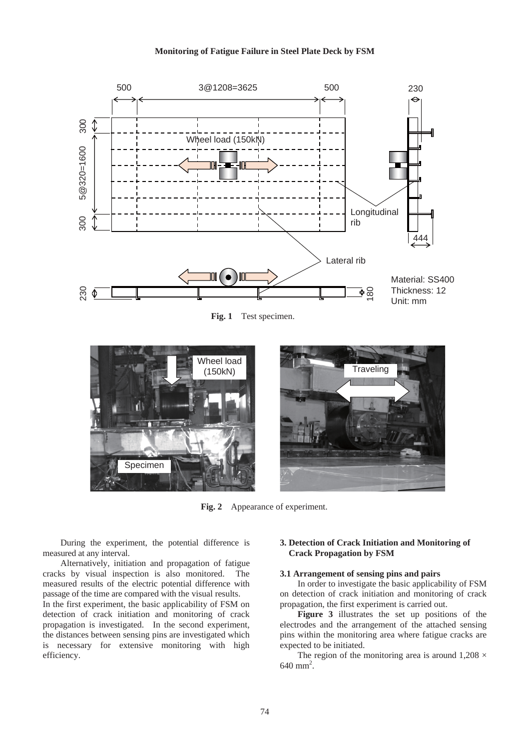# **Monitoring of Fatigue Failure in Steel Plate Deck by FSM**



Fig. 1 Test specimen.



**Fig. 2** Appearance of experiment.

During the experiment, the potential difference is measured at any interval.

Alternatively, initiation and propagation of fatigue cracks by visual inspection is also monitored. The measured results of the electric potential difference with passage of the time are compared with the visual results.

In the first experiment, the basic applicability of FSM on detection of crack initiation and monitoring of crack propagation is investigated. In the second experiment, the distances between sensing pins are investigated which is necessary for extensive monitoring with high efficiency.

# **3. Detection of Crack Initiation and Monitoring of Crack Propagation by FSM**

# **3.1 Arrangement of sensing pins and pairs**

In order to investigate the basic applicability of FSM on detection of crack initiation and monitoring of crack propagation, the first experiment is carried out.

**Figure 3** illustrates the set up positions of the electrodes and the arrangement of the attached sensing pins within the monitoring area where fatigue cracks are expected to be initiated.

The region of the monitoring area is around  $1,208 \times$  $640$  mm<sup>2</sup>.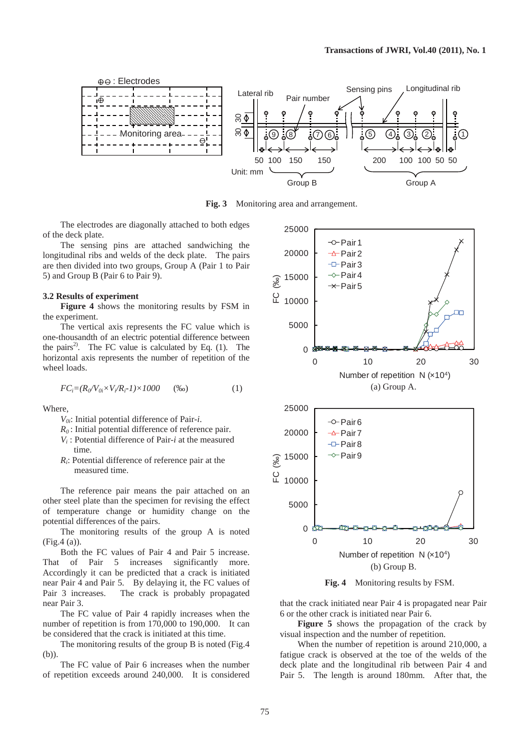

**Fig. 3** Monitoring area and arrangement.

The electrodes are diagonally attached to both edges of the deck plate.

The sensing pins are attached sandwiching the longitudinal ribs and welds of the deck plate. The pairs are then divided into two groups, Group A (Pair 1 to Pair 5) and Group B (Pair 6 to Pair 9).

#### **3.2 Results of experiment**

**Figure 4** shows the monitoring results by FSM in the experiment.

The vertical axis represents the FC value which is one-thousandth of an electric potential difference between the pairs<sup>2)</sup>. The FC value is calculated by Eq.  $(1)$ . The horizontal axis represents the number of repetition of the wheel loads.

$$
FC_i = (R_0/V_{0i} \times V_i/R_i - 1) \times 1000 \qquad (\%0)
$$
 (1)

Where,

- *V0i*: Initial potential difference of Pair-*i*.
- *R0* : Initial potential difference of reference pair.
- *Vi* : Potential difference of Pair-*i* at the measured time.
- *Ri*: Potential difference of reference pair at the measured time.

The reference pair means the pair attached on an other steel plate than the specimen for revising the effect of temperature change or humidity change on the potential differences of the pairs.

The monitoring results of the group A is noted (Fig.4 (a)).

Both the FC values of Pair 4 and Pair 5 increase. That of Pair 5 increases significantly more. Accordingly it can be predicted that a crack is initiated near Pair 4 and Pair 5. By delaying it, the FC values of Pair 3 increases. The crack is probably propagated near Pair 3.

The FC value of Pair 4 rapidly increases when the number of repetition is from 170,000 to 190,000. It can be considered that the crack is initiated at this time.

The monitoring results of the group B is noted (Fig.4 (b)).

The FC value of Pair 6 increases when the number of repetition exceeds around 240,000. It is considered



**Fig. 4** Monitoring results by FSM.

that the crack initiated near Pair 4 is propagated near Pair 6 or the other crack is initiated near Pair 6.

**Figure 5** shows the propagation of the crack by visual inspection and the number of repetition.

When the number of repetition is around 210,000, a fatigue crack is observed at the toe of the welds of the deck plate and the longitudinal rib between Pair 4 and Pair 5. The length is around 180mm. After that, the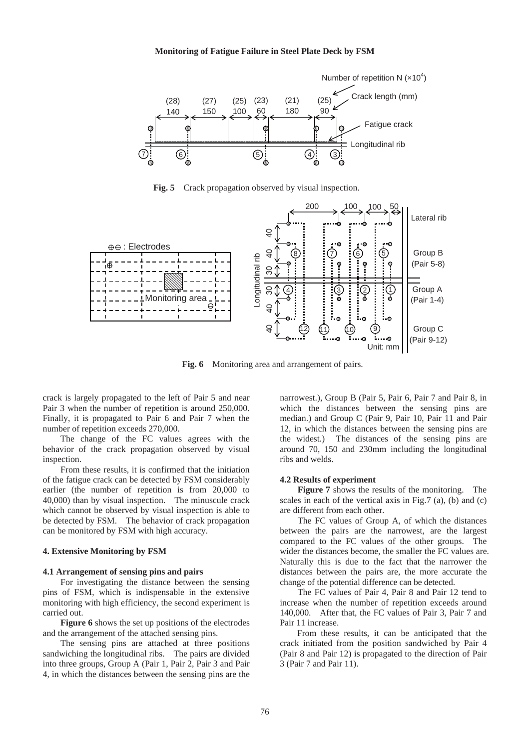## **Monitoring of Fatigue Failure in Steel Plate Deck by FSM**



**Fig. 5** Crack propagation observed by visual inspection.



**Fig. 6** Monitoring area and arrangement of pairs.

crack is largely propagated to the left of Pair 5 and near Pair 3 when the number of repetition is around 250,000. Finally, it is propagated to Pair 6 and Pair 7 when the number of repetition exceeds 270,000.

The change of the FC values agrees with the behavior of the crack propagation observed by visual inspection.

From these results, it is confirmed that the initiation of the fatigue crack can be detected by FSM considerably earlier (the number of repetition is from 20,000 to 40,000) than by visual inspection. The minuscule crack which cannot be observed by visual inspection is able to be detected by FSM. The behavior of crack propagation can be monitored by FSM with high accuracy.

## **4. Extensive Monitoring by FSM**

#### **4.1 Arrangement of sensing pins and pairs**

For investigating the distance between the sensing pins of FSM, which is indispensable in the extensive monitoring with high efficiency, the second experiment is carried out.

**Figure 6** shows the set up positions of the electrodes and the arrangement of the attached sensing pins.

The sensing pins are attached at three positions sandwiching the longitudinal ribs. The pairs are divided into three groups, Group A (Pair 1, Pair 2, Pair 3 and Pair 4, in which the distances between the sensing pins are the

narrowest.), Group B (Pair 5, Pair 6, Pair 7 and Pair 8, in which the distances between the sensing pins are median.) and Group C (Pair 9, Pair 10, Pair 11 and Pair 12, in which the distances between the sensing pins are the widest.) The distances of the sensing pins are around 70, 150 and 230mm including the longitudinal ribs and welds.

## **4.2 Results of experiment**

**Figure 7** shows the results of the monitoring. The scales in each of the vertical axis in Fig.7 (a), (b) and (c) are different from each other.

The FC values of Group A, of which the distances between the pairs are the narrowest, are the largest compared to the FC values of the other groups. The wider the distances become, the smaller the FC values are. Naturally this is due to the fact that the narrower the distances between the pairs are, the more accurate the change of the potential difference can be detected.

The FC values of Pair 4, Pair 8 and Pair 12 tend to increase when the number of repetition exceeds around 140,000. After that, the FC values of Pair 3, Pair 7 and Pair 11 increase.

From these results, it can be anticipated that the crack initiated from the position sandwiched by Pair 4 (Pair 8 and Pair 12) is propagated to the direction of Pair 3 (Pair 7 and Pair 11).